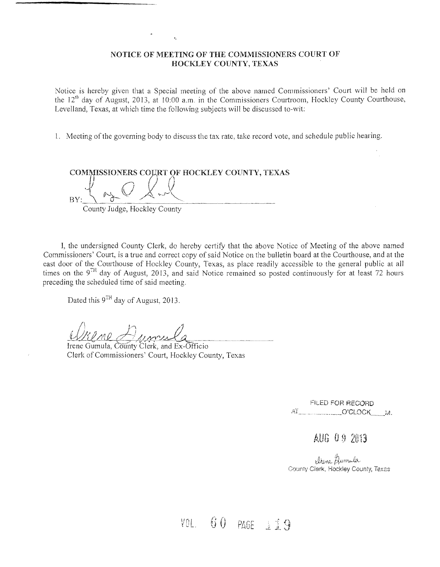## NOTICE OF MEETING OF THE COMMISSIONERS COURT OF HOCKLEY COUNTY, TEXAS

Notice is hereby given that a Special meeting of the above named Commissioners' Court will be held on the  $12^{th}$  day of August, 2013, at 10:00 a.m. in the Commissioners Courtroom, Hockley County Courthouse, Levelland, Texas, at which time the following subjects will be discussed to-wit:

1. Meeting of the governing body to discuss the tax rate, take record vote, and schedule public hearing.

COMMISSIONERS COURT OF HOCKLEY COUNTY, TEXAS  $_{\rm BV:}$   $\sim$   $\sim$   $\sim$   $\sim$   $\sim$ County Judge, Hockley County

I, the undersigned County Clerk, do hereby certify that the above Notice of Meeting of the above named Commissioners' Court, is a true and correct copy of said Notice on the bulletin board at the Courthouse, and at the east door of the Courthouse of Hockley County, Texas, as place readily accessible to the general public at all times on the  $9^{TH}$  day of August, 2013, and said Notice remained so posted continuously for at least 72 hours preceding the scheduled time of said meeting.

Dated this  $9^{TH}$  day of August, 2013.

/\ ~''1 /J

Irene Gumula, County Clerk, and Ex-Officio Clerk of Commissioners' Court, Hockley County, Texas

FILED FOR RECORD Ai .\_\_ .\_\_\_ ..\_~\_O'CLOCK\_\_;vL

AUG 09 2013

 $A$ umila County Clerk, Hockley County, Texas

VOL  $60$  PAGE  $119$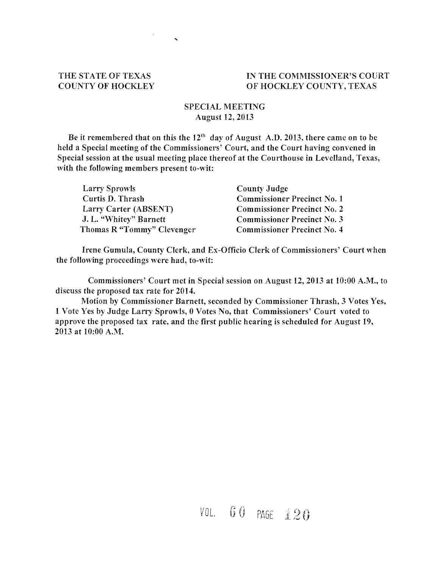## THE STATE OF TEXAS COUNTY OF HOCKLEY

## IN THE COMMISSIONER'S COURT OF HOCKLEY COUNTY, TEXAS

## SPECIAL MEETING August 12,2013

 $\ddot{\phantom{a}}$ 

Be it remembered that on this the  $12<sup>th</sup>$  day of August A.D. 2013, there came on to be held a Special meeting of the Commissioners' Court, and the Court having convened in Special session at the usual meeting place thereof at the Courthouse in Levelland, Texas, with the following members present to-wit:

| Larry Sprowls              | County Judge                       |  |
|----------------------------|------------------------------------|--|
| Curtis D. Thrash           | <b>Commissioner Precinct No. 1</b> |  |
| Larry Carter (ABSENT)      | <b>Commissioner Precinct No. 2</b> |  |
| J. L. "Whitey" Barnett     | <b>Commissioner Precinct No. 3</b> |  |
| Thomas R "Tommy" Clevenger | <b>Commissioner Precinct No. 4</b> |  |

Irene Gumula, County Clerk, and Ex-Officio Clerk of Commissioners' Court when the following proceedings were had, to-wit:

Commissioners' Court met in Special session on August 12, 2013 at 10:00 A.M., to discuss the proposed tax rate for 2014.

Motion by Commissioner Barnett, seconded by Commissioner Thrash, 3 Votes Yes, 1 Vote Yes by Judge Larry Sprowls, 0 Votes No, that Commissioners' Court voted to approve the proposed tax rate, and the first public hearing is scheduled for August 19, 2013 at 10:00 A.M.

VOL. 60 PAGE 120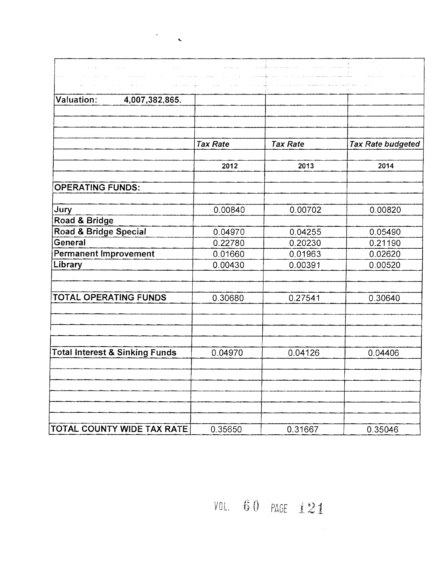| Valuation:<br>4,007,382,865.              |                 |                 |                   |
|-------------------------------------------|-----------------|-----------------|-------------------|
|                                           |                 |                 |                   |
|                                           |                 |                 |                   |
|                                           | <b>Tax Rate</b> | <b>Tax Rate</b> | Tax Rate budgeted |
|                                           |                 |                 |                   |
|                                           | 2012            | 2013            | 2014              |
| <b>OPERATING FUNDS:</b>                   |                 |                 |                   |
|                                           |                 |                 |                   |
| Jury                                      | 0.00840         | 0.00702         | 0.00820           |
| Road & Bridge                             |                 |                 |                   |
| Road & Bridge Special                     | 0.04970         | 0.04255         | 0.05490           |
| General                                   | 0.22780         | 0.20230         | 0.21190           |
| <b>Permanent Improvement</b>              | 0.01660         | 0.01963         | 0.02620           |
| Library                                   | 0.00430         | 0.00391         | 0.00520           |
|                                           |                 |                 |                   |
| <b>TOTAL OPERATING FUNDS</b>              | 0.30680         | 0.27541         | 0.30640           |
|                                           |                 |                 |                   |
|                                           |                 |                 |                   |
|                                           |                 |                 |                   |
| <b>Total Interest &amp; Sinking Funds</b> | 0.04970         | 0.04126         | 0.04406           |
|                                           |                 |                 |                   |
|                                           |                 |                 |                   |
|                                           |                 |                 |                   |
|                                           |                 |                 |                   |
|                                           |                 |                 |                   |
| TOTAL COUNTY WIDE TAX RATE                | 0.35650         | 0.31667         | 0.35046           |

 $\mathcal{L}_{\text{max}}$ 

 $\bar{\mathbf{v}}$ 

VOL.  $60$  PAGE